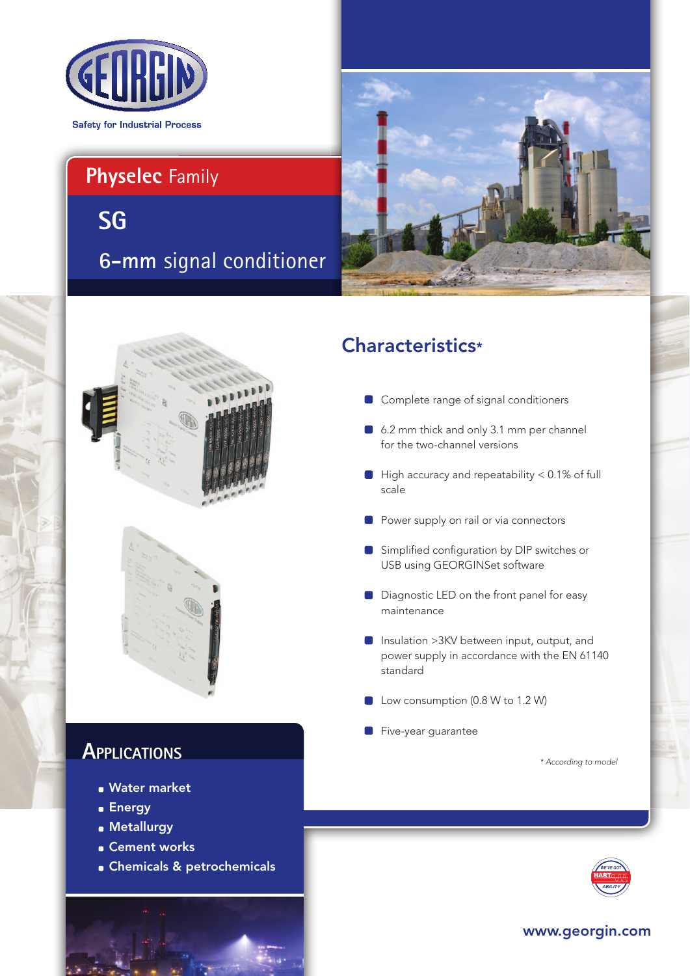

# **Physelec** Family

**6-mm** signal conditioner **SG**



# Characteristics\*

- Complete range of signal conditioners
- 6.2 mm thick and only 3.1 mm per channel for the two-channel versions
- $\Box$  High accuracy and repeatability < 0.1% of full scale
- Power supply on rail or via connectors
- Simplified configuration by DIP switches or USB using GEORGINSet software
- Diagnostic LED on the front panel for easy maintenance
- Insulation > 3KV between input, output, and power supply in accordance with the EN 61140 standard
- Low consumption (0.8 W to 1.2 W)
- Five-year guarantee

*\* According to model*



### www.georgin.com





## **APPLICATIONS**

- **Water market**
- **Energy**
- **Metallurgy**
- **Cement works**
- Chemicals & petrochemicals